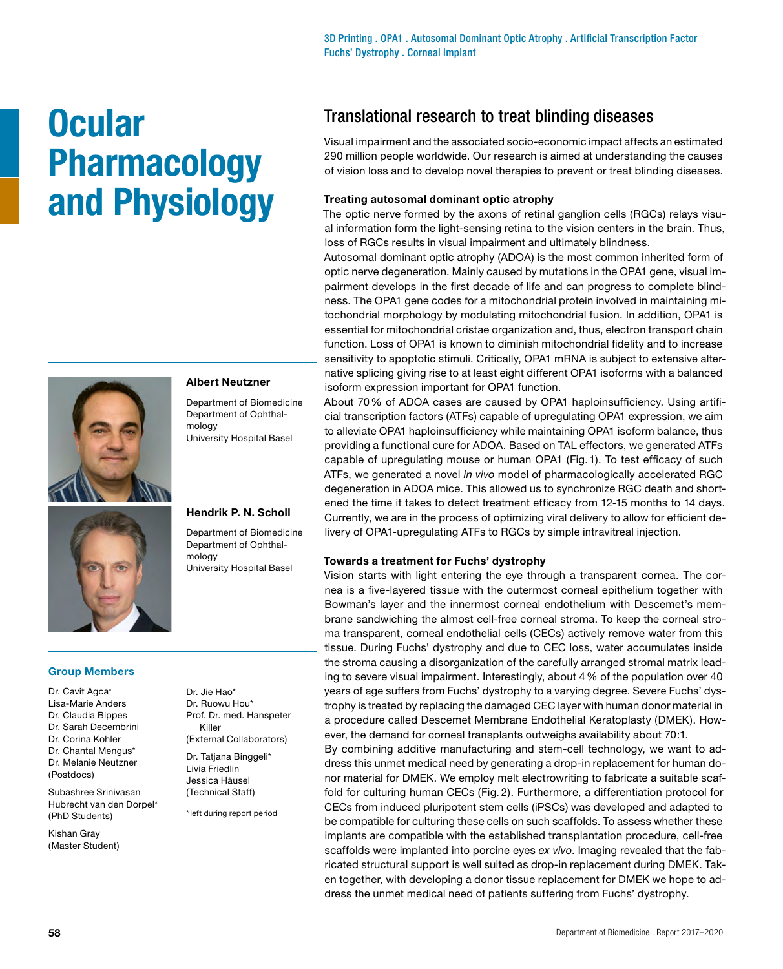# **Ocular Pharmacology and Physiology**





## **Albert Neutzner**

Department of Biomedicine Department of Ophthalmology University Hospital Basel

## **Hendrik P. N. Scholl**

Department of Biomedicine Department of Ophthalmology University Hospital Basel

## **Group Members**

Dr. Cavit Agca\* Lisa-Marie Anders Dr. Claudia Bippes Dr. Sarah Decembrini Dr. Corina Kohler Dr. Chantal Mengus\* Dr. Melanie Neutzner (Postdocs)

Subashree Srinivasan Hubrecht van den Dorpel\* (PhD Students)

Kishan Gray (Master Student) Dr. Jie Hao\* Dr. Ruowu Hou\* Prof. Dr. med. Hanspeter Killer (External Collaborators)

Dr. Tatjana Binggeli\* Livia Friedlin Jessica Häusel (Technical Staff)

\*left during report period

## Translational research to treat blinding diseases

Visual impairment and the associated socio-economic impact affects an estimated 290 million people worldwide. Our research is aimed at understanding the causes of vision loss and to develop novel therapies to prevent or treat blinding diseases.

### **Treating autosomal dominant optic atrophy**

The optic nerve formed by the axons of retinal ganglion cells (RGCs) relays visual information form the light-sensing retina to the vision centers in the brain. Thus, loss of RGCs results in visual impairment and ultimately blindness.

Autosomal dominant optic atrophy (ADOA) is the most common inherited form of optic nerve degeneration. Mainly caused by mutations in the OPA1 gene, visual impairment develops in the first decade of life and can progress to complete blindness. The OPA1 gene codes for a mitochondrial protein involved in maintaining mitochondrial morphology by modulating mitochondrial fusion. In addition, OPA1 is essential for mitochondrial cristae organization and, thus, electron transport chain function. Loss of OPA1 is known to diminish mitochondrial fidelity and to increase sensitivity to apoptotic stimuli. Critically, OPA1 mRNA is subject to extensive alternative splicing giving rise to at least eight different OPA1 isoforms with a balanced isoform expression important for OPA1 function.

About 70% of ADOA cases are caused by OPA1 haploinsufficiency. Using artificial transcription factors (ATFs) capable of upregulating OPA1 expression, we aim to alleviate OPA1 haploinsufficiency while maintaining OPA1 isoform balance, thus providing a functional cure for ADOA. Based on TAL effectors, we generated ATFs capable of upregulating mouse or human OPA1 (Fig.1). To test efficacy of such ATFs, we generated a novel *in vivo* model of pharmacologically accelerated RGC degeneration in ADOA mice. This allowed us to synchronize RGC death and shortened the time it takes to detect treatment efficacy from 12-15 months to 14 days. Currently, we are in the process of optimizing viral delivery to allow for efficient delivery of OPA1-upregulating ATFs to RGCs by simple intravitreal injection.

#### **Towards a treatment for Fuchs' dystrophy**

Vision starts with light entering the eye through a transparent cornea. The cornea is a five-layered tissue with the outermost corneal epithelium together with Bowman's layer and the innermost corneal endothelium with Descemet's membrane sandwiching the almost cell-free corneal stroma. To keep the corneal stroma transparent, corneal endothelial cells (CECs) actively remove water from this tissue. During Fuchs' dystrophy and due to CEC loss, water accumulates inside the stroma causing a disorganization of the carefully arranged stromal matrix leading to severe visual impairment. Interestingly, about 4% of the population over 40 years of age suffers from Fuchs' dystrophy to a varying degree. Severe Fuchs' dystrophy is treated by replacing the damaged CEC layer with human donor material in a procedure called Descemet Membrane Endothelial Keratoplasty (DMEK). However, the demand for corneal transplants outweighs availability about 70:1.

By combining additive manufacturing and stem-cell technology, we want to address this unmet medical need by generating a drop-in replacement for human donor material for DMEK. We employ melt electrowriting to fabricate a suitable scaffold for culturing human CECs (Fig. 2). Furthermore, a differentiation protocol for CECs from induced pluripotent stem cells (iPSCs) was developed and adapted to be compatible for culturing these cells on such scaffolds. To assess whether these implants are compatible with the established transplantation procedure, cell-free scaffolds were implanted into porcine eyes *ex vivo*. Imaging revealed that the fabricated structural support is well suited as drop-in replacement during DMEK. Taken together, with developing a donor tissue replacement for DMEK we hope to address the unmet medical need of patients suffering from Fuchs' dystrophy.